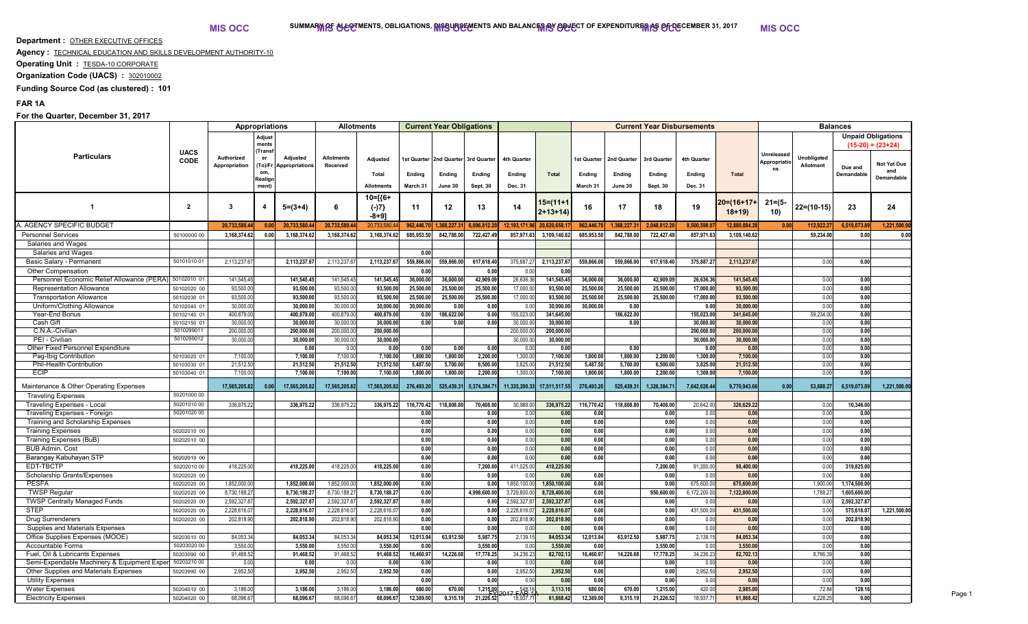**Department : OTHER EXECUTIVE OFFICES** 

**Agency :** TECHNICAL EDUCATION AND SKILLS DEVELOPMENT AUTHORITY-10

**Operating Unit : TESDA-10 CORPORATE** 

**Organization Code (UACS) : 302010002** 

**Funding Source Cod (as clustered) : 101**

## **FAR 1A**

## **For the Quarter, December 31, 2017**

|                                             |                          |                             | <b>Appropriations</b>     |                                   | <b>Allotments</b>             |                         |            | <b>Current Year Obligations</b>     |                 |                                          |                             | <b>Current Year Disbursements</b> |             |              |                         |                         |                                  | <b>Balances</b>                        |                                                  |                   |        |  |
|---------------------------------------------|--------------------------|-----------------------------|---------------------------|-----------------------------------|-------------------------------|-------------------------|------------|-------------------------------------|-----------------|------------------------------------------|-----------------------------|-----------------------------------|-------------|--------------|-------------------------|-------------------------|----------------------------------|----------------------------------------|--------------------------------------------------|-------------------|--------|--|
|                                             | <b>UACS</b>              |                             | Adjust<br>ments<br>(Trans |                                   |                               |                         |            |                                     |                 |                                          |                             |                                   |             |              |                         |                         |                                  |                                        | <b>Unpaid Obligations</b><br>$(15-20) = (23+24)$ |                   |        |  |
| <b>Particulars</b>                          | <b>CODE</b>              | Authorized<br>Appropriation | (To)/Fr                   | Adjusted<br><b>Appropriations</b> | <b>Allotments</b><br>Received | Adjusted                |            | Ist Quarter 2nd Quarter 3rd Quarter |                 | 4th Quarter                              |                             | 1st Quarter                       | 2nd Quarter | 3rd Quarter  | 4th Quarter             |                         | Unreleased<br>Appropriatio<br>ns | <b>Unobligated</b><br><b>Allotment</b> | Due and                                          | Not Yet Due       |        |  |
|                                             |                          |                             | om,<br>Realign            |                                   |                               | Total                   | Ending     | Ending                              | Ending          | Ending                                   | <b>Total</b>                | Ending                            | Ending      | Ending       | Ending                  | Total                   |                                  |                                        | Demandable                                       | and<br>Demandable |        |  |
|                                             |                          |                             | ment)                     |                                   |                               | <b>Allotments</b>       | March 31   | June 30                             | <b>Sept. 30</b> | Dec. 31                                  |                             | March 31                          | June 30     | Sept. 30     | Dec. 31                 |                         |                                  |                                        |                                                  |                   |        |  |
| $\overline{\mathbf{1}}$                     | $\overline{2}$           | 3                           |                           | $5=(3+4)$                         | 6                             | 10=[{6+<br>$(-)7$       | 11         | 12                                  | 13              | 14                                       | 15=(11+1<br>$2+13+14$       | 16                                | 17          | 18           | 19                      | 20=(16+17+<br>$18+19$   | $21 = (5 -$<br>10)               | $22=(10-15)$                           | 23                                               | 24                |        |  |
|                                             |                          |                             |                           |                                   |                               | $-8+9]$                 |            |                                     |                 |                                          |                             |                                   |             |              |                         |                         |                                  |                                        |                                                  |                   |        |  |
| A. AGENCY SPECIFIC BUDGET                   |                          | 20,733,580.44               | 0.00                      | 20,733,580.                       | 20,733,580.4                  | 20,733,580.             | 962,446.   | 1,368,227.3                         | 6,096,812.      | 12,193,171.9                             | 6 20,620,658.1              | 962,446.7                         | 1,368,227.3 | 2,048,812.   | 8,500,598.              | 12,880,084.28           | 0.00                             | 112,922.27                             | 6,519,073.89                                     | 1,221,500.0       |        |  |
| <b>Personnel Services</b>                   | 50100000 00              | 3.168.374.62                | 0.00                      | 3,168,374.6                       | 3,168,374.62                  | 3,168,374.62            | 685,953.50 | 842,788.00                          | 722,427.4       | 857,971.63                               | 3,109,140.62                | 685,953.50                        | 842,788.00  | 722,427.4    | 857,971.63              | 3.109.140.62            |                                  | 59,234.00                              | 0.00                                             | 0.00              |        |  |
| Salaries and Wages                          |                          |                             |                           |                                   |                               |                         |            |                                     |                 |                                          |                             |                                   |             |              |                         |                         |                                  |                                        |                                                  |                   |        |  |
| Salaries and Wages                          |                          |                             |                           |                                   |                               |                         | 0.00       |                                     |                 |                                          |                             |                                   |             |              |                         |                         |                                  |                                        |                                                  |                   |        |  |
| Basic Salary - Permanent                    | 5010101001               | 2,113,237.6                 |                           | 2,113,237.6                       | 2,113,237.6                   | 2,113,237.67            | 559,866.00 | 559,866.00                          | 617,618.40      | 375,887.2                                | 2,113,237.67                | 559,866.00                        | 559,866.00  | 617,618.4    | 375,887.2               | 2,113,237.67            |                                  | 0.00                                   | 0.00                                             |                   |        |  |
| Other Compensation                          |                          |                             |                           |                                   |                               |                         | 0.00       |                                     | 0.00            | 0.00                                     | 0.00                        |                                   |             |              |                         |                         |                                  |                                        |                                                  |                   |        |  |
| Personnel Economic Relief Allowance (PERA)  | 50102010 01              | 141,545.45                  |                           | 141,545.4                         | 141,545.45                    | 141,545.45              | 36,000.00  | 36,000.00                           | 42,909.0        | 26,636.36                                | 141,545.45                  | 36,000.0                          | 36,000.00   | 42,909.0     | 26,636.36               | 141,545.45              |                                  | 0.00                                   | 0.00                                             |                   |        |  |
| <b>Representation Allowance</b>             | 50102020 00              | 93,500.00                   |                           | 93,500.00                         | 93,500.00                     | 93,500.00               | 25,500.00  | 25,500.00                           | 25,500.0        | 17,000.0                                 | 93,500.00                   | 25,500.0                          | 25,500.00   | 25,500.0     | 17,000.00               | 93,500.00               |                                  | 0.00                                   | 0.00                                             |                   |        |  |
| <b>Transportation Allowance</b>             | 50102030 01              | 93,500.00                   |                           | 93,500.00                         | 93,500.00                     | 93,500.00               | 25,500.00  | 25,500.00                           | 25,500.00       | 17,000.00                                | 93,500.00                   | 25,500.00                         | 25,500.00   | 25,500.00    | 17,000.00               | 93,500.00               |                                  | 0.00                                   | 0.00                                             |                   |        |  |
| Uniform/Clothing Allowance                  | 50102040 0               | 30,000.00                   |                           | 30.000.0                          | 30,000.00                     | 30,000.00               | 30,000.00  | 0.00                                | 0.00            | 0.00                                     | 30,000.00                   | 30,000.00                         | 0.00        |              | 0.00                    | 30,000.00               |                                  | 0.00                                   | 0.00                                             |                   |        |  |
| Year-End Bonus                              | 50102140 0               | 400,879.00                  |                           | 400,879.0                         | 400,879.00                    | 400,879.00              | 0.00       | 186,622.00                          | 0.00            | 155,023.0                                | 341,645.00                  |                                   | 186,622.00  |              | 155,023.00              | 341,645.00              |                                  | 59,234.00                              | 0.00                                             |                   |        |  |
| Cash Gift                                   | 50102150 0<br>5010299011 | 30,000.00                   |                           | 30,000.00                         | 30,000.00                     | 30,000.00               | 0.00       | 0.00                                | 0.00            | 30,000.00                                | 30,000.00                   |                                   | 0.00        |              | 30,000.00               | 30,000.00               |                                  | 0.00                                   | 0.00                                             |                   |        |  |
| C.N.A.-Civilian<br>PEI - Civilian           | 5010299012               | 200,000.00<br>30,000.00     |                           | 200,000.0<br>30,000.00            | 200,000.00<br>30,000.00       | 200,000.00<br>30,000.00 |            |                                     |                 | 200,000.00<br>30,000.00                  | 200,000.00<br>30,000.00     |                                   |             |              | 200,000.00<br>30,000.00 | 200,000.00<br>30,000.00 |                                  | 0.00<br>0.00                           | 0.00<br>0.00                                     |                   |        |  |
| Other Fixed Personnel Expenditure           |                          |                             |                           | 0.00                              | 0.00                          | 0.00                    | 0.00       | 0.00                                | 0.00            | 0.00                                     | 0.00                        |                                   | 0.00        |              | 0.00                    | 0.00                    |                                  | 0.00                                   | 0.00                                             |                   |        |  |
| Pag-Ibig Contribution                       | 50103020 0               | 7,100.00                    |                           | 7,100.00                          | 7,100.00                      | 7,100.00                | 1,800.00   | 1,800.00                            | 2,200.00        | 1,300.00                                 | 7,100.00                    | 1,800.00                          | 1,800.00    | 2,200.0      | 1,300.00                | 7,100.00                |                                  | 0.00                                   | 0.00                                             |                   |        |  |
| Phil-Health Contribution                    | 50103030 0               | 21,512.50                   |                           | 21,512.50                         | 21,512.50                     | 21,512.50               | 5,487.50   | 5,700.00                            | 6,500.00        | 3,825.0                                  | 21,512.50                   | 5,487.50                          | 5,700.00    | 6,500.0      | 3,825.00                | 21,512.50               |                                  | 0.00                                   | 0.00                                             |                   |        |  |
| <b>ECIP</b>                                 | 50103040 01              | 7,100.00                    |                           | 7,100.00                          | 7,100.00                      | 7,100.00                | 1,800.00   | 1,800.00                            | 2,200.0         | 1,300.0                                  | 7,100.00                    | 1,800.00                          | 1,800.00    | 2,200.00     | 1,300.00                | 7,100.00                |                                  | 0.00                                   | 0.00                                             |                   |        |  |
|                                             |                          |                             |                           |                                   |                               |                         |            |                                     |                 |                                          |                             |                                   |             |              |                         |                         |                                  |                                        |                                                  |                   |        |  |
| Maintenance & Other Operating Expenses      |                          | 17,565,205.82               | 0.00                      | 17,565,205.82                     | 17,565,205.82                 | 17,565,205.82           | 276,493.20 | 525,439.31                          | 5,374,384.71    |                                          | 11,335,200.33 17,511,517.55 | 276,493.20                        | 525,439.31  | 1,326,384.71 | 7,642,626.44            | 9,770,943.66            | 0.00                             | 53,688.27                              | 6,519,073.89                                     | 1,221,500.00      |        |  |
| <b>Traveling Expenses</b>                   | 50201000 00              |                             |                           |                                   |                               |                         |            |                                     |                 |                                          |                             |                                   |             |              |                         |                         |                                  |                                        |                                                  |                   |        |  |
| Traveling Expenses - Local                  | 50201010 00              | 336,975.22                  |                           | 336,975.2                         | 336,975.2                     | 336,975.22              | 116,770.42 | 118,808.80                          | 70,408.0        | 30,988.00                                | 336,975.22                  | 116,770.42                        | 118,808.80  | 70,408.0     | 20,642.0                | 326,629.22              |                                  | 0.00                                   | 10,346.00                                        |                   |        |  |
| Traveling Expenses - Foreign                | 50201020 00              |                             |                           |                                   |                               |                         | 0.00       |                                     | 0.00            | 0.00                                     | 0.00                        | 0.00                              |             | 0.00         | 0.00                    | 0.00                    |                                  | 0.00                                   | 0.00                                             |                   |        |  |
| Training and Scholarship Expenses           |                          |                             |                           |                                   |                               |                         | 0.00       |                                     | 0.00            | 0.00                                     | 0.00                        | 0.00                              |             | 0.00         | 0.00                    | 0.00                    |                                  | 0.00                                   | 0.00                                             |                   |        |  |
| <b>Training Expenses</b>                    | 50202010 00              |                             |                           |                                   |                               |                         | 0.00       |                                     | 0.00            | 0.00                                     | 0.00                        | 0.00                              |             | 0.00         | 0.00                    | 0.00                    |                                  | 0.00                                   | 0.00                                             |                   |        |  |
| Training Expenses (BuB)                     | 50202010 00              |                             |                           |                                   |                               |                         | 0.00       |                                     | 0.00            | 0.00                                     | 0.00                        | 0.00                              |             | 0.00         | 0.00                    | 0.00                    |                                  | 0.00                                   | 0.00                                             |                   |        |  |
| <b>BUB Admin. Cost</b>                      |                          |                             |                           |                                   |                               |                         | 0.00       |                                     | 0.00            | 0.00                                     | 0.00                        | 0.00                              |             | 0.00         | 0.00                    | 0.00                    |                                  | 0.00                                   | 0.00                                             |                   |        |  |
| Barangay Kabuhayan STP                      | 50202010 00              |                             |                           |                                   |                               |                         | 0.00       |                                     | 0.00            | 0.00                                     | 0.00                        | 0.00                              |             | 0.00         | 0.00                    | 0.00                    |                                  | 0.00                                   | 0.00                                             |                   |        |  |
| EDT-TBCTP                                   | 50202010 00              | 418,225.00                  |                           | 418,225.0                         | 418,225.00                    | 418,225.00              | 0.00       |                                     | 7,200.00        | 411,025.00                               | 418,225.00                  |                                   |             | 7,200.00     | 91,200.00               | 98,400.00               |                                  | 0.00                                   | 319,825.00                                       |                   |        |  |
| Scholarship Grants/Expenses                 | 50202020 00              |                             |                           |                                   |                               |                         | 0.00       |                                     | 0.00            | 0.00                                     | 0.00                        | 0.00                              |             | 0.00         | 0.00                    | 0.00                    |                                  | 0.00                                   | 0.00                                             |                   |        |  |
| <b>PESFA</b>                                | 50202020 00              | 1,852,000.00                |                           | 1,852,000.0                       | 1,852,000.00                  | 1,852,000.00            | 0.00       |                                     | 0.00            | 1,850,100.0                              | 1,850,100.00                | 0.00                              |             | 0.00         | 675,600.00              | 675,600.00              |                                  | 1,900.00                               | 1,174,500.00                                     |                   |        |  |
| <b>TWSP Regular</b>                         | 50202020 00              | 8,730,188.2                 |                           | 8,730,188.2                       | 8,730,188.2                   | 8,730,188.27            | 0.00       |                                     | 4,998,600.00    | 3,729,800.                               | 8,728,400.00                | 0.00                              |             | 950,600.00   | 6,172,200.00            | 7,122,800.00            |                                  | 1,788.27                               | 1,605,600.00                                     |                   |        |  |
| <b>TWSP Centrally Managed Funds</b>         | 50202020 00              | 2,592,327.87                |                           | 2,592,327.8                       | 2,592,327.87                  | 2.592.327.87            | 0.00       |                                     | 0.00            | 2.592.327                                | 2,592,327.87                | 0.00                              |             | 0.00         | 0.00                    | 0.00                    |                                  | 0.00                                   | 2.592.327.87                                     |                   |        |  |
| <b>STEP</b>                                 | 50202020 00              | 2,228,616.0                 |                           | 2,228,616.0                       | 2,228,616.0                   | 2,228,616.07            | 0.00       |                                     | 0.00            | 2,228,616.                               | 2,228,616.07                | 0.00                              |             | 0.00         | 431,500.00              | 431,500.00              |                                  | 0.00                                   | 575,616.07                                       | 1,221,500.00      |        |  |
| <b>Drug Surrenderers</b>                    | 50202020 00              | 202,818.90                  |                           | 202,818.90                        | 202,818.90                    | 202,818.90              | 0.00       |                                     | 0.00            | 202,818.9                                | 202,818.90                  | 0.00                              |             | 0.00         | 0.00                    | 0.00                    |                                  | 0.00                                   | 202,818.90                                       |                   |        |  |
| Supplies and Materials Expenses             |                          |                             |                           |                                   |                               |                         | 0.00       |                                     | 0.00            | 0.00                                     | 0.00                        | 0.00                              |             | 0.00         | 0.00                    | 0.00                    |                                  | 0.00                                   | 0.00                                             |                   |        |  |
| Office Supplies Expenses (MOOE)             | 50203010 00              | 84,053.3                    |                           | 84,053.3                          | 84,053.3                      | 84,053.34               | 12,013.94  | 63,912.50                           | 5,987.7         | 2,139.1                                  | 84,053.34                   | 12,013.94                         | 63,912.50   | 5,987.75     | 2,139.15                | 84,053.34               |                                  | 0.00                                   | 0.00                                             |                   |        |  |
| Accountable Forms                           | 50203020 00              | 3,550.00                    |                           | 3,550.00                          | 3,550.00                      | 3,550.00                | 0.00       |                                     | 3,550.0         | 0.00                                     | 3,550.00                    | 0.00                              |             | 3,550.0      | 0.00                    | 3,550.00                |                                  | 0.00                                   | 0.00                                             |                   |        |  |
| Fuel, Oil & Lubricants Expenses             | 50203090 00              | 91,468.52                   |                           | 91,468.52                         | 91,468.52                     | 91,468.52               | 16,460.97  | 14,226.68                           | 17,778.25       | 34,236.23                                | 82,702.13                   | 16,460.97                         | 14,226.68   | 17,778.25    | 34,236.23               | 82,702.13               |                                  | 8,766.39                               | 0.00                                             |                   |        |  |
| Semi-Expendable Machinery & Equipment Exper | 50203210 00              | 0.00                        |                           | 0.00                              | 0.00                          | 0.00                    | 0.00       |                                     | 0.00            | 0.00                                     | 0.00                        | 0.00                              |             | 0.00         | 0.00                    | 0.00                    |                                  | 0.00                                   | 0.00                                             |                   |        |  |
| Other Supplies and Materials Expenses       | 50203990 00              | 2,952.50                    |                           | 2,952.50                          | 2,952.50                      | 2,952.50                | 0.00       |                                     | 0.00            | 2,952.50                                 | 2,952.50                    | 0.00                              |             | 0.00         | 2,952.50                | 2,952.50                |                                  | 0.00                                   | 0.00                                             |                   |        |  |
| <b>Utility Expenses</b>                     |                          |                             |                           |                                   |                               |                         | 0.00       |                                     | 0.00            | 0.00                                     | 0.00                        | 0.00                              |             | 0.00         | 0.00                    | 0.00                    |                                  | 0.00                                   | 0.00                                             |                   |        |  |
| <b>Water Expenses</b>                       | 50204010 00              | 3,186.00                    |                           | 3,186.00                          | 3,186.00                      | 3,186.00                | 680.00     | 670.00                              | 1,215,00        | 2017 - 548.1<br>2017 - AB<br>7. 18,937.7 | 3,113.16                    | 680.00                            | 670.00      | 1,215.00     | 420.00                  | 2,985.00                |                                  | 72.84                                  | 128.16                                           |                   | Page 1 |  |
| <b>Electricity Expenses</b>                 | 50204020 00              | 68.096.67                   |                           | 68,096.67                         | 68,096.67                     | 68,096.67               | 12.389.00  | 9,315.19                            | 21,226.52       |                                          | 61,868.42                   | 12,389.00                         | 9,315.19    | 21,226.52    | 18.937.7                | 61,868.42               |                                  | 6,228.25                               | 0.00                                             |                   |        |  |